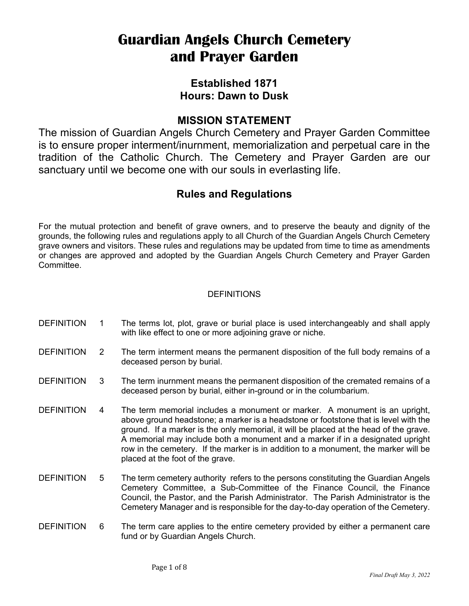# **Guardian Angels Church Cemetery and Prayer Garden**

# **Established 1871 Hours: Dawn to Dusk**

# **MISSION STATEMENT**

The mission of Guardian Angels Church Cemetery and Prayer Garden Committee is to ensure proper interment/inurnment, memorialization and perpetual care in the tradition of the Catholic Church. The Cemetery and Prayer Garden are our sanctuary until we become one with our souls in everlasting life.

# **Rules and Regulations**

For the mutual protection and benefit of grave owners, and to preserve the beauty and dignity of the grounds, the following rules and regulations apply to all Church of the Guardian Angels Church Cemetery grave owners and visitors. These rules and regulations may be updated from time to time as amendments or changes are approved and adopted by the Guardian Angels Church Cemetery and Prayer Garden Committee.

# DEFINITIONS

- DEFINITION 1 The terms lot, plot, grave or burial place is used interchangeably and shall apply with like effect to one or more adjoining grave or niche.
- DEFINITION 2 The term interment means the permanent disposition of the full body remains of a deceased person by burial.
- DEFINITION 3 The term inurnment means the permanent disposition of the cremated remains of a deceased person by burial, either in-ground or in the columbarium.
- DEFINITION 4 The term memorial includes a monument or marker. A monument is an upright, above ground headstone; a marker is a headstone or footstone that is level with the ground. If a marker is the only memorial, it will be placed at the head of the grave. A memorial may include both a monument and a marker if in a designated upright row in the cemetery. If the marker is in addition to a monument, the marker will be placed at the foot of the grave.
- DEFINITION 5 The term cemetery authority refers to the persons constituting the Guardian Angels Cemetery Committee, a Sub-Committee of the Finance Council, the Finance Council, the Pastor, and the Parish Administrator. The Parish Administrator is the Cemetery Manager and is responsible for the day-to-day operation of the Cemetery.
- DEFINITION 6 The term care applies to the entire cemetery provided by either a permanent care fund or by Guardian Angels Church.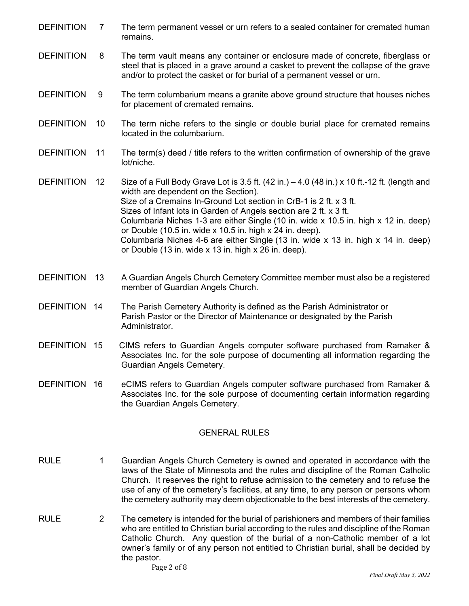- DEFINITION 7 The term permanent vessel or urn refers to a sealed container for cremated human remains.
- DEFINITION 8 The term vault means any container or enclosure made of concrete, fiberglass or steel that is placed in a grave around a casket to prevent the collapse of the grave and/or to protect the casket or for burial of a permanent vessel or urn.
- DEFINITION 9 The term columbarium means a granite above ground structure that houses niches for placement of cremated remains.
- DEFINITION 10 The term niche refers to the single or double burial place for cremated remains located in the columbarium.
- DEFINITION 11 The term(s) deed / title refers to the written confirmation of ownership of the grave lot/niche.
- DEFINITION 12 Size of a Full Body Grave Lot is 3.5 ft. (42 in.) 4.0 (48 in.) x 10 ft.-12 ft. (length and width are dependent on the Section). Size of a Cremains In-Ground Lot section in CrB-1 is 2 ft. x 3 ft. Sizes of Infant lots in Garden of Angels section are 2 ft. x 3 ft. Columbaria Niches 1-3 are either Single (10 in. wide x 10.5 in. high x 12 in. deep) or Double (10.5 in. wide x 10.5 in. high x 24 in. deep). Columbaria Niches 4-6 are either Single (13 in. wide x 13 in. high x 14 in. deep) or Double (13 in. wide x 13 in. high x 26 in. deep).
- DEFINITION 13 A Guardian Angels Church Cemetery Committee member must also be a registered member of Guardian Angels Church.
- DEFINITION 14 The Parish Cemetery Authority is defined as the Parish Administrator or Parish Pastor or the Director of Maintenance or designated by the Parish Administrator.
- DEFINITION 15 CIMS refers to Guardian Angels computer software purchased from Ramaker & Associates Inc. for the sole purpose of documenting all information regarding the Guardian Angels Cemetery.
- DEFINITION 16 eCIMS refers to Guardian Angels computer software purchased from Ramaker & Associates Inc. for the sole purpose of documenting certain information regarding the Guardian Angels Cemetery.

## GENERAL RULES

- RULE 1 Guardian Angels Church Cemetery is owned and operated in accordance with the laws of the State of Minnesota and the rules and discipline of the Roman Catholic Church. It reserves the right to refuse admission to the cemetery and to refuse the use of any of the cemetery's facilities, at any time, to any person or persons whom the cemetery authority may deem objectionable to the best interests of the cemetery.
- RULE 2 The cemetery is intended for the burial of parishioners and members of their families who are entitled to Christian burial according to the rules and discipline of the Roman Catholic Church. Any question of the burial of a non-Catholic member of a lot owner's family or of any person not entitled to Christian burial, shall be decided by the pastor.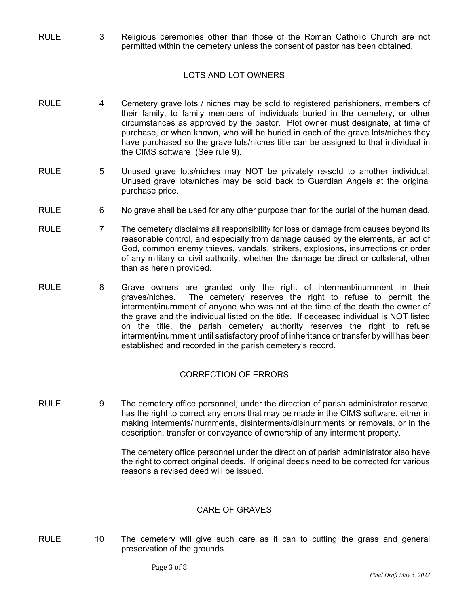RULE 3 Religious ceremonies other than those of the Roman Catholic Church are not permitted within the cemetery unless the consent of pastor has been obtained.

## LOTS AND LOT OWNERS

- RULE 4 Cemetery grave lots / niches may be sold to registered parishioners, members of their family, to family members of individuals buried in the cemetery, or other circumstances as approved by the pastor. Plot owner must designate, at time of purchase, or when known, who will be buried in each of the grave lots/niches they have purchased so the grave lots/niches title can be assigned to that individual in the CIMS software (See rule 9).
- RULE 5 Unused grave lots/niches may NOT be privately re-sold to another individual. Unused grave lots/niches may be sold back to Guardian Angels at the original purchase price.
- RULE 6 No grave shall be used for any other purpose than for the burial of the human dead.
- RULE 7 The cemetery disclaims all responsibility for loss or damage from causes beyond its reasonable control, and especially from damage caused by the elements, an act of God, common enemy thieves, vandals, strikers, explosions, insurrections or order of any military or civil authority, whether the damage be direct or collateral, other than as herein provided.
- RULE 8 Grave owners are granted only the right of interment/inurnment in their graves/niches. The cemetery reserves the right to refuse to permit the interment/inurnment of anyone who was not at the time of the death the owner of the grave and the individual listed on the title. If deceased individual is NOT listed on the title, the parish cemetery authority reserves the right to refuse interment/inurnment until satisfactory proof of inheritance or transfer by will has been established and recorded in the parish cemetery's record.

#### CORRECTION OF ERRORS

RULE 9 The cemetery office personnel, under the direction of parish administrator reserve, has the right to correct any errors that may be made in the CIMS software, either in making interments/inurnments, disinterments/disinurnments or removals, or in the description, transfer or conveyance of ownership of any interment property.

> The cemetery office personnel under the direction of parish administrator also have the right to correct original deeds. If original deeds need to be corrected for various reasons a revised deed will be issued.

### CARE OF GRAVES

- 
- RULE 10 The cemetery will give such care as it can to cutting the grass and general preservation of the grounds.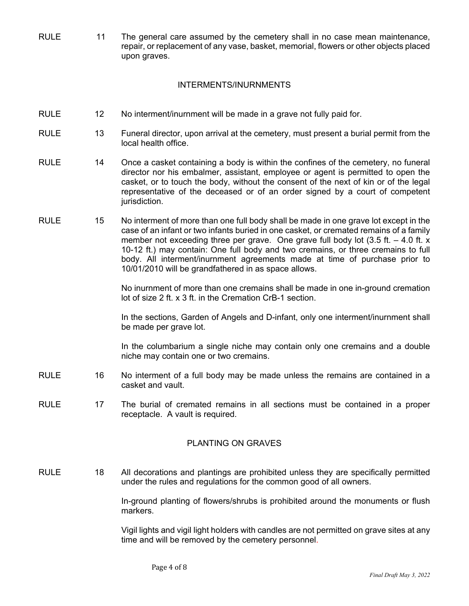RULE 11 The general care assumed by the cemetery shall in no case mean maintenance, repair, or replacement of any vase, basket, memorial, flowers or other objects placed upon graves.

#### INTERMENTS/INURNMENTS

- RULE 12 No interment/inurnment will be made in a grave not fully paid for.
- RULE 13 Funeral director, upon arrival at the cemetery, must present a burial permit from the local health office.
- RULE 14 Once a casket containing a body is within the confines of the cemetery, no funeral director nor his embalmer, assistant, employee or agent is permitted to open the casket, or to touch the body, without the consent of the next of kin or of the legal representative of the deceased or of an order signed by a court of competent jurisdiction.
- RULE 15 No interment of more than one full body shall be made in one grave lot except in the case of an infant or two infants buried in one casket, or cremated remains of a family member not exceeding three per grave. One grave full body lot  $(3.5 \text{ ft.} - 4.0 \text{ ft. x})$ 10-12 ft.) may contain: One full body and two cremains, or three cremains to full body. All interment/inurnment agreements made at time of purchase prior to 10/01/2010 will be grandfathered in as space allows.

No inurnment of more than one cremains shall be made in one in-ground cremation lot of size 2 ft. x 3 ft. in the Cremation CrB-1 section.

 In the sections, Garden of Angels and D-infant, only one interment/inurnment shall be made per grave lot.

 In the columbarium a single niche may contain only one cremains and a double niche may contain one or two cremains.

- RULE 16 No interment of a full body may be made unless the remains are contained in a casket and vault.
- RULE 17 The burial of cremated remains in all sections must be contained in a proper receptacle. A vault is required.

### PLANTING ON GRAVES

RULE 18 All decorations and plantings are prohibited unless they are specifically permitted under the rules and regulations for the common good of all owners.

> In-ground planting of flowers/shrubs is prohibited around the monuments or flush markers.

> Vigil lights and vigil light holders with candles are not permitted on grave sites at any time and will be removed by the cemetery personnel.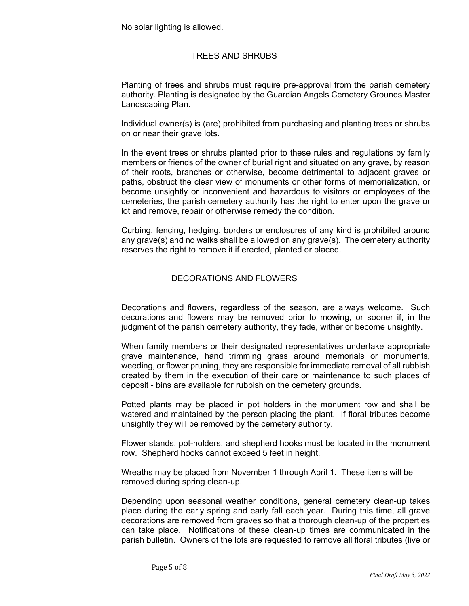No solar lighting is allowed.

# TREES AND SHRUBS

 Planting of trees and shrubs must require pre-approval from the parish cemetery authority. Planting is designated by the Guardian Angels Cemetery Grounds Master Landscaping Plan.

 Individual owner(s) is (are) prohibited from purchasing and planting trees or shrubs on or near their grave lots.

 In the event trees or shrubs planted prior to these rules and regulations by family members or friends of the owner of burial right and situated on any grave, by reason of their roots, branches or otherwise, become detrimental to adjacent graves or paths, obstruct the clear view of monuments or other forms of memorialization, or become unsightly or inconvenient and hazardous to visitors or employees of the cemeteries, the parish cemetery authority has the right to enter upon the grave or lot and remove, repair or otherwise remedy the condition.

 Curbing, fencing, hedging, borders or enclosures of any kind is prohibited around any grave(s) and no walks shall be allowed on any grave(s). The cemetery authority reserves the right to remove it if erected, planted or placed.

## DECORATIONS AND FLOWERS

 Decorations and flowers, regardless of the season, are always welcome. Such decorations and flowers may be removed prior to mowing, or sooner if, in the judgment of the parish cemetery authority, they fade, wither or become unsightly.

 When family members or their designated representatives undertake appropriate grave maintenance, hand trimming grass around memorials or monuments, weeding, or flower pruning, they are responsible for immediate removal of all rubbish created by them in the execution of their care or maintenance to such places of deposit - bins are available for rubbish on the cemetery grounds.

 Potted plants may be placed in pot holders in the monument row and shall be watered and maintained by the person placing the plant. If floral tributes become unsightly they will be removed by the cemetery authority.

 Flower stands, pot-holders, and shepherd hooks must be located in the monument row. Shepherd hooks cannot exceed 5 feet in height.

 Wreaths may be placed from November 1 through April 1. These items will be removed during spring clean-up.

 Depending upon seasonal weather conditions, general cemetery clean-up takes place during the early spring and early fall each year. During this time, all grave decorations are removed from graves so that a thorough clean-up of the properties can take place. Notifications of these clean-up times are communicated in the parish bulletin. Owners of the lots are requested to remove all floral tributes (live or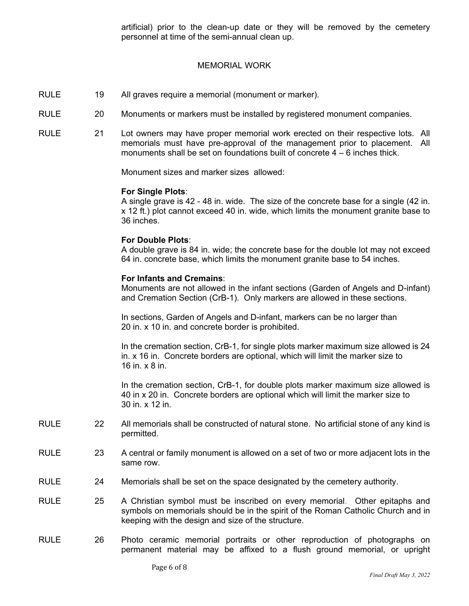artificial) prior to the clean-up date or they will be removed by the cemetery personnel at time of the semi-annual clean up.

#### MEMORIAL WORK

- RULE 19 All graves require a memorial (monument or marker).
- RULE 20 Monuments or markers must be installed by registered monument companies.
- RULE 21 Lot owners may have proper memorial work erected on their respective lots. All memorials must have pre-approval of the management prior to placement. All monuments shall be set on foundations built of concrete 4 – 6 inches thick.

Monument sizes and marker sizes allowed:

#### **For Single Plots**:

A single grave is 42 - 48 in. wide. The size of the concrete base for a single (42 in. x 12 ft.) plot cannot exceed 40 in. wide, which limits the monument granite base to 36 inches.

#### **For Double Plots**:

A double grave is 84 in. wide; the concrete base for the double lot may not exceed 64 in. concrete base, which limits the monument granite base to 54 inches.

#### **For Infants and Cremains**:

Monuments are not allowed in the infant sections (Garden of Angels and D-infant) and Cremation Section (CrB-1). Only markers are allowed in these sections.

In sections, Garden of Angels and D-infant, markers can be no larger than 20 in. x 10 in. and concrete border is prohibited.

 In the cremation section, CrB-1, for single plots marker maximum size allowed is 24 in. x 16 in. Concrete borders are optional, which will limit the marker size to 16 in. x 8 in.

 In the cremation section, CrB-1, for double plots marker maximum size allowed is 40 in x 20 in. Concrete borders are optional which will limit the marker size to 30 in. x 12 in.

- RULE 22 All memorials shall be constructed of natural stone. No artificial stone of any kind is permitted.
- RULE 23 A central or family monument is allowed on a set of two or more adjacent lots in the same row.
- RULE 24 Memorials shall be set on the space designated by the cemetery authority.
- RULE 25 A Christian symbol must be inscribed on every memorial. Other epitaphs and symbols on memorials should be in the spirit of the Roman Catholic Church and in keeping with the design and size of the structure.
- RULE 26 Photo ceramic memorial portraits or other reproduction of photographs on permanent material may be affixed to a flush ground memorial, or upright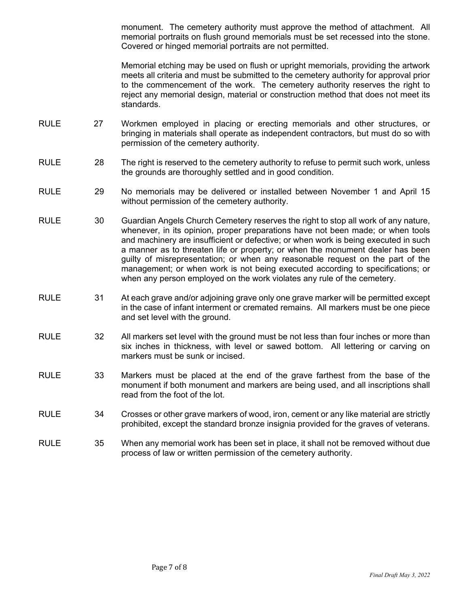monument. The cemetery authority must approve the method of attachment. All memorial portraits on flush ground memorials must be set recessed into the stone. Covered or hinged memorial portraits are not permitted.

 Memorial etching may be used on flush or upright memorials, providing the artwork meets all criteria and must be submitted to the cemetery authority for approval prior to the commencement of the work. The cemetery authority reserves the right to reject any memorial design, material or construction method that does not meet its standards.

- RULE 27 Workmen employed in placing or erecting memorials and other structures, or bringing in materials shall operate as independent contractors, but must do so with permission of the cemetery authority.
- RULE 28 The right is reserved to the cemetery authority to refuse to permit such work, unless the grounds are thoroughly settled and in good condition.
- RULE 29 No memorials may be delivered or installed between November 1 and April 15 without permission of the cemetery authority.
- RULE 30 Guardian Angels Church Cemetery reserves the right to stop all work of any nature, whenever, in its opinion, proper preparations have not been made; or when tools and machinery are insufficient or defective; or when work is being executed in such a manner as to threaten life or property; or when the monument dealer has been guilty of misrepresentation; or when any reasonable request on the part of the management; or when work is not being executed according to specifications; or when any person employed on the work violates any rule of the cemetery.
- RULE 31 At each grave and/or adjoining grave only one grave marker will be permitted except in the case of infant interment or cremated remains. All markers must be one piece and set level with the ground.
- RULE 32 All markers set level with the ground must be not less than four inches or more than six inches in thickness, with level or sawed bottom. All lettering or carving on markers must be sunk or incised.
- RULE 33 Markers must be placed at the end of the grave farthest from the base of the monument if both monument and markers are being used, and all inscriptions shall read from the foot of the lot.
- RULE 34 Crosses or other grave markers of wood, iron, cement or any like material are strictly prohibited, except the standard bronze insignia provided for the graves of veterans.
- RULE 35 When any memorial work has been set in place, it shall not be removed without due process of law or written permission of the cemetery authority.